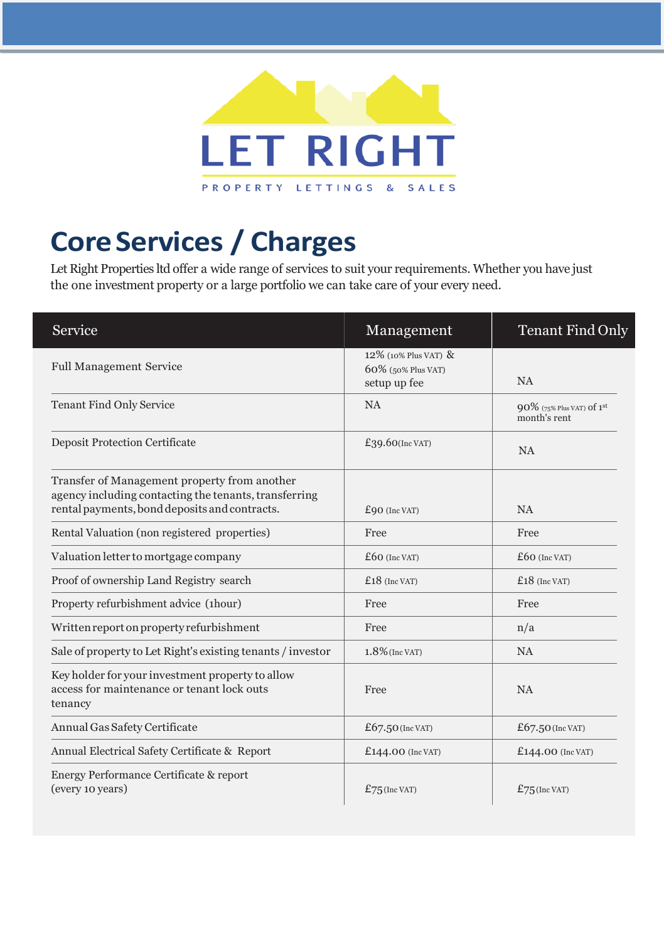

# **CoreServices / Charges**

Let Right Properties ltd offer a wide range of services to suit your requirements. Whether you have just the one investment property or a large portfolio we can take care of your every need.

| Service                                                                                                                                                | Management                                                 | Tenant Find Only                             |
|--------------------------------------------------------------------------------------------------------------------------------------------------------|------------------------------------------------------------|----------------------------------------------|
| <b>Full Management Service</b>                                                                                                                         | 12% (10% Plus VAT) &<br>60% (50% Plus VAT)<br>setup up fee | <b>NA</b>                                    |
| Tenant Find Only Service                                                                                                                               | <b>NA</b>                                                  | $90\%$ (75% Plus VAT) Of 1st<br>month's rent |
| <b>Deposit Protection Certificate</b>                                                                                                                  | $£39.60$ (Inc VAT)                                         | <b>NA</b>                                    |
| Transfer of Management property from another<br>agency including contacting the tenants, transferring<br>rental payments, bond deposits and contracts. | $£90$ (Inc VAT)                                            | <b>NA</b>                                    |
| Rental Valuation (non registered properties)                                                                                                           | Free                                                       | Free                                         |
| Valuation letter to mortgage company                                                                                                                   | $£60$ (Inc VAT)                                            | $£60$ (Inc VAT)                              |
| Proof of ownership Land Registry search                                                                                                                | $£18$ (Inc VAT)                                            | $£18$ (Inc VAT)                              |
| Property refurbishment advice (1hour)                                                                                                                  | Free                                                       | Free                                         |
| Written report on property refurbishment                                                                                                               | Free                                                       | n/a                                          |
| Sale of property to Let Right's existing tenants / investor                                                                                            | $1.8\%$ (Inc VAT)                                          | <b>NA</b>                                    |
| Key holder for your investment property to allow<br>access for maintenance or tenant lock outs<br>tenancy                                              | <b>Free</b>                                                | <b>NA</b>                                    |
| Annual Gas Safety Certificate                                                                                                                          | $£67.50$ (Inc VAT)                                         | $£67.50$ (Inc VAT)                           |
| Annual Electrical Safety Certificate & Report                                                                                                          | $£144.00$ (Inc VAT)                                        | $£144.00$ (Inc VAT)                          |
| Energy Performance Certificate & report<br>(every 10 years)                                                                                            | $£75$ (Inc VAT)                                            | $£75$ (Inc VAT)                              |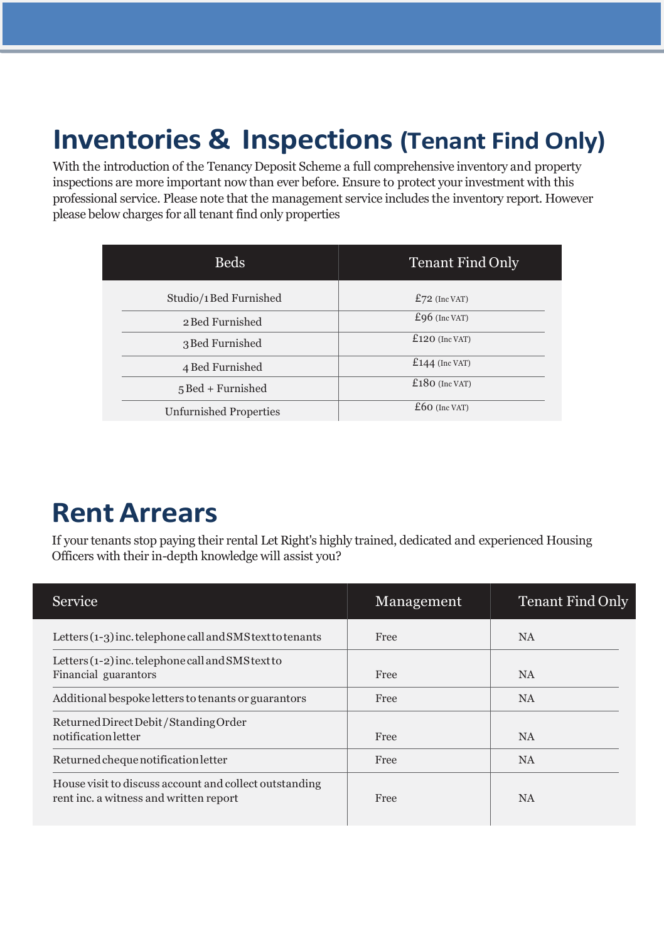## **Inventories & Inspections (Tenant Find Only)**

With the introduction of the Tenancy Deposit Scheme a full comprehensive inventory and property inspections are more important now than ever before. Ensure to protect your investment with this professional service. Please note that the management service includes the inventory report. However please below charges for all tenant find only properties

| <b>Beds</b>                   | Tenant Find Only |  |
|-------------------------------|------------------|--|
| Studio/1Bed Furnished         | $£72$ (Inc VAT)  |  |
| 2 Bed Furnished               | $£96$ (Inc VAT)  |  |
| 3 Bed Furnished               | $£120$ (Inc VAT) |  |
| 4 Bed Furnished               | $£144$ (Inc VAT) |  |
| 5 Bed + Furnished             | $£180$ (Inc VAT) |  |
| <b>Unfurnished Properties</b> | $£60$ (Inc VAT)  |  |

### **RentArrears**

If your tenants stop paying their rental Let Right's highly trained, dedicated and experienced Housing Officers with their in-depth knowledge will assist you?

| <b>Service</b>                                                                                   | Management  | <b>Tenant Find Only</b> |
|--------------------------------------------------------------------------------------------------|-------------|-------------------------|
| Letters $(1-3)$ inc. telephone call and SMS text to tenants                                      | Free        | <b>NA</b>               |
| Letters $(1-2)$ inc. telephone call and SMS text to<br>Financial guarantors                      | Free        | <b>NA</b>               |
| Additional bespoke letters to tenants or guarantors                                              | Free        | <b>NA</b>               |
| Returned Direct Debit / Standing Order<br>notification letter                                    | Free        | <b>NA</b>               |
| Returned cheque notification letter                                                              | Free        | <b>NA</b>               |
| House visit to discuss account and collect outstanding<br>rent inc. a witness and written report | <b>Free</b> | <b>NA</b>               |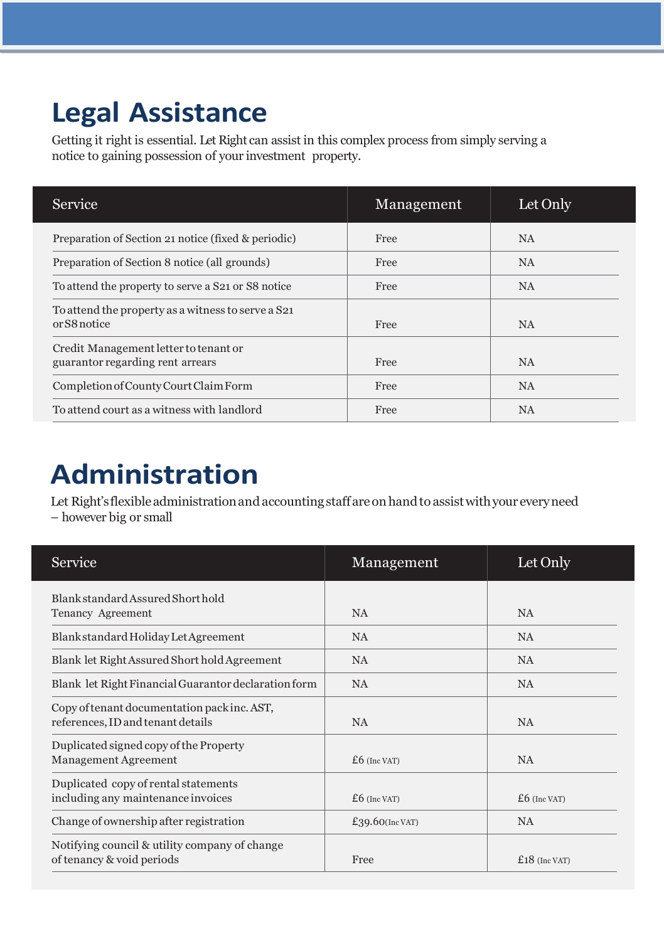## **Legal Assistance**

Getting it right is essential. Let Right can assist in this complex process from simply serving a notice to gaining possession of your investment property.

| <b>Service</b>                                                            | Management  | Let Only  |
|---------------------------------------------------------------------------|-------------|-----------|
| Preparation of Section 21 notice (fixed & periodic)                       | Free        | <b>NA</b> |
| Preparation of Section 8 notice (all grounds)                             | <b>Free</b> | <b>NA</b> |
| To attend the property to serve a S21 or S8 notice                        | Free        | <b>NA</b> |
| To attend the property as a witness to serve a S21<br>or S8 notice        | Free        | <b>NA</b> |
| Credit Management letter to tenant or<br>guarantor regarding rent arrears | <b>Free</b> | <b>NA</b> |
| Completion of County Court Claim Form                                     | Free        | NA.       |
| To attend court as a witness with landlord                                | <b>Free</b> | <b>NA</b> |

# **Administration**

Let Right's flexible administration and accounting staff are on hand to assist with your every need – however big or small

| <b>Service</b>                                                                   | Management         | Let Only        |
|----------------------------------------------------------------------------------|--------------------|-----------------|
| Blankstandard Assured Shorthold<br>Tenancy Agreement                             | <b>NA</b>          | <b>NA</b>       |
| Blankstandard Holiday Let Agreement                                              | <b>NA</b>          | <b>NA</b>       |
| Blank let Right Assured Short hold Agreement                                     | <b>NA</b>          | <b>NA</b>       |
| Blank let Right Financial Guarantor declaration form                             | <b>NA</b>          | <b>NA</b>       |
| Copy of tenant documentation pack inc. AST,<br>references, ID and tenant details | <b>NA</b>          | <b>NA</b>       |
| Duplicated signed copy of the Property<br>Management Agreement                   | $£6$ (Inc VAT)     | <b>NA</b>       |
| Duplicated copy of rental statements<br>including any maintenance invoices       | $£6$ (Inc VAT)     | $£6$ (Inc VAT)  |
| Change of ownership after registration                                           | $£39.60$ (Inc VAT) | NA.             |
| Notifying council & utility company of change<br>of tenancy & void periods       | Free               | $£18$ (Inc VAT) |